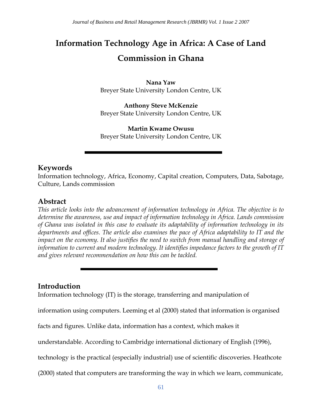# **Information Technology Age in Africa: A Case of Land Commission in Ghana**

**Nana Yaw**  Breyer State University London Centre, UK

**Anthony Steve McKenzie** Breyer State University London Centre, UK

**Martin Kwame Owusu** Breyer State University London Centre, UK

# **Keywords**

Information technology, Africa, Economy, Capital creation, Computers, Data, Sabotage, Culture, Lands commission

# **Abstract**

*This article looks into the advancement of information technology in Africa. The objective is to determine the awareness, use and impact of information technology in Africa. Lands commission of Ghana was isolated in this case to evaluate its adaptability of information technology in its departments and offices. The article also examines the pace of Africa adaptability to IT and the*  impact on the economy. It also justifies the need to switch from manual handling and storage of *information to current and modern technology. It identifies impedance factors to the growth of IT and gives relevant recommendation on how this can be tackled.* 

# **Introduction**

Information technology (IT) is the storage, transferring and manipulation of

information using computers. Leeming et al (2000) stated that information is organised

facts and figures. Unlike data, information has a context, which makes it

understandable. According to Cambridge international dictionary of English (1996),

technology is the practical (especially industrial) use of scientific discoveries. Heathcote

(2000) stated that computers are transforming the way in which we learn, communicate,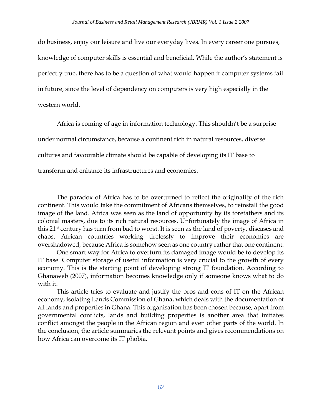do business, enjoy our leisure and live our everyday lives. In every career one pursues, knowledge of computer skills is essential and beneficial. While the author's statement is perfectly true, there has to be a question of what would happen if computer systems fail in future, since the level of dependency on computers is very high especially in the western world.

Africa is coming of age in information technology. This shouldn't be a surprise under normal circumstance, because a continent rich in natural resources, diverse cultures and favourable climate should be capable of developing its IT base to transform and enhance its infrastructures and economies.

The paradox of Africa has to be overturned to reflect the originality of the rich continent. This would take the commitment of Africans themselves, to reinstall the good image of the land. Africa was seen as the land of opportunity by its forefathers and its colonial masters, due to its rich natural resources. Unfortunately the image of Africa in this 21st century has turn from bad to worst. It is seen as the land of poverty, diseases and chaos. African countries working tirelessly to improve their economies are overshadowed, because Africa is somehow seen as one country rather that one continent.

One smart way for Africa to overturn its damaged image would be to develop its IT base. Computer storage of useful information is very crucial to the growth of every economy. This is the starting point of developing strong IT foundation. According to Ghanaweb (2007), information becomes knowledge only if someone knows what to do with it.

This article tries to evaluate and justify the pros and cons of IT on the African economy, isolating Lands Commission of Ghana, which deals with the documentation of all lands and properties in Ghana. This organisation has been chosen because, apart from governmental conflicts, lands and building properties is another area that initiates conflict amongst the people in the African region and even other parts of the world. In the conclusion, the article summaries the relevant points and gives recommendations on how Africa can overcome its IT phobia.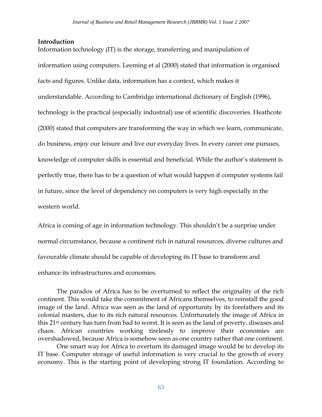#### **Introduction**

Information technology (IT) is the storage, transferring and manipulation of information using computers. Leeming et al (2000) stated that information is organised facts and figures. Unlike data, information has a context, which makes it understandable. According to Cambridge international dictionary of English (1996), technology is the practical (especially industrial) use of scientific discoveries. Heathcote (2000) stated that computers are transforming the way in which we learn, communicate, do business, enjoy our leisure and live our everyday lives. In every career one pursues, knowledge of computer skills is essential and beneficial. While the author's statement is perfectly true, there has to be a question of what would happen if computer systems fail in future, since the level of dependency on computers is very high especially in the western world.

Africa is coming of age in information technology. This shouldn't be a surprise under normal circumstance, because a continent rich in natural resources, diverse cultures and favourable climate should be capable of developing its IT base to transform and enhance its infrastructures and economies.

The paradox of Africa has to be overturned to reflect the originality of the rich continent. This would take the commitment of Africans themselves, to reinstall the good image of the land. Africa was seen as the land of opportunity by its forefathers and its colonial masters, due to its rich natural resources. Unfortunately the image of Africa in this 21st century has turn from bad to worst. It is seen as the land of poverty, diseases and chaos. African countries working tirelessly to improve their economies are overshadowed, because Africa is somehow seen as one country rather that one continent.

One smart way for Africa to overturn its damaged image would be to develop its IT base. Computer storage of useful information is very crucial to the growth of every economy. This is the starting point of developing strong IT foundation. According to

63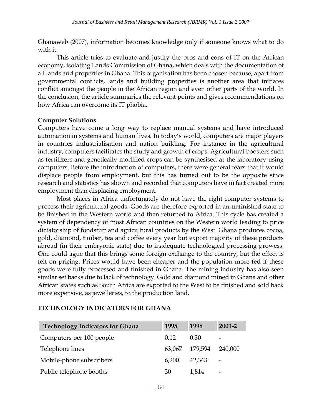Ghanaweb (2007), information becomes knowledge only if someone knows what to do with it.

This article tries to evaluate and justify the pros and cons of IT on the African economy, isolating Lands Commission of Ghana, which deals with the documentation of all lands and properties in Ghana. This organisation has been chosen because, apart from governmental conflicts, lands and building properties is another area that initiates conflict amongst the people in the African region and even other parts of the world. In the conclusion, the article summaries the relevant points and gives recommendations on how Africa can overcome its IT phobia.

## **Computer Solutions**

Computers have come a long way to replace manual systems and have introduced automation in systems and human lives. In today's world, computers are major players in countries industrialisation and nation building. For instance in the agricultural industry, computers facilitates the study and growth of crops. Agricultural boosters such as fertilizers and genetically modified crops can be synthesised at the laboratory using computers. Before the introduction of computers, there were general fears that it would displace people from employment, but this has turned out to be the opposite since research and statistics has shown and recorded that computers have in fact created more employment than displacing employment.

Most places in Africa unfortunately do not have the right computer systems to process their agricultural goods. Goods are therefore exported in an unfinished state to be finished in the Western world and then returned to Africa. This cycle has created a system of dependency of most African countries on the Western world leading to price dictatorship of foodstuff and agricultural products by the West. Ghana produces cocoa, gold, diamond, timber, tea and coffee every year but export majority of these products abroad (in their embryonic state) due to inadequate technological processing prowess. One could ague that this brings some foreign exchange to the country, but the effect is felt on pricing. Prices would have been cheaper and the population more fed if these goods were fully processed and finished in Ghana. The mining industry has also seen similar set backs due to lack of technology. Gold and diamond mined in Ghana and other African states such as South Africa are exported to the West to be finished and sold back more expensive, as jewelleries, to the production land.

| <b>Technology Indicators for Ghana</b> | 1995   | 1998    | $2001 - 2$               |
|----------------------------------------|--------|---------|--------------------------|
| Computers per 100 people               | 0.12   | 0.30    |                          |
| Telephone lines                        | 63.067 | 179,594 | 240,000                  |
| Mobile-phone subscribers               | 6,200  | 42,343  | $\overline{\phantom{0}}$ |
| Public telephone booths                | 30     | 1,814   |                          |

# **TECHNOLOGY INDICATORS FOR GHANA**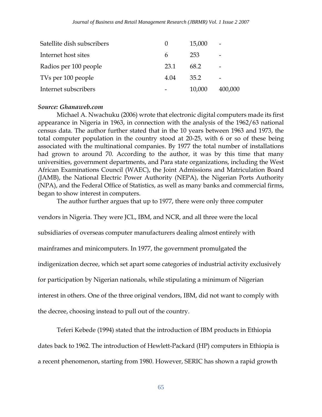| Satellite dish subscribers | $\cup$ | 15,000 | $\overline{\phantom{a}}$ |
|----------------------------|--------|--------|--------------------------|
| Internet host sites        | h      | 253    | -                        |
| Radios per 100 people      | 23.1   | 68.2   | -                        |
| TVs per 100 people         | 4.04   | 35.2   | -                        |
| Internet subscribers       |        | 10,000 | 400,000                  |

#### *Source: Ghanaweb.com*

Michael A. Nwachuku (2006) wrote that electronic digital computers made its first appearance in Nigeria in 1963, in connection with the analysis of the 1962/63 national census data. The author further stated that in the 10 years between 1963 and 1973, the total computer population in the country stood at 20-25, with 6 or so of these being associated with the multinational companies. By 1977 the total number of installations had grown to around 70. According to the author, it was by this time that many universities, government departments, and Para state organizations, including the West African Examinations Council (WAEC), the Joint Admissions and Matriculation Board (JAMB), the National Electric Power Authority (NEPA), the Nigerian Ports Authority (NPA), and the Federal Office of Statistics, as well as many banks and commercial firms, began to show interest in computers.

The author further argues that up to 1977, there were only three computer

vendors in Nigeria. They were JCL, IBM, and NCR, and all three were the local

subsidiaries of overseas computer manufacturers dealing almost entirely with

mainframes and minicomputers. In 1977, the government promulgated the

indigenization decree, which set apart some categories of industrial activity exclusively

for participation by Nigerian nationals, while stipulating a minimum of Nigerian

interest in others. One of the three original vendors, IBM, did not want to comply with

the decree, choosing instead to pull out of the country.

Teferi Kebede (1994) stated that the introduction of IBM products in Ethiopia dates back to 1962. The introduction of Hewlett-Packard (HP) computers in Ethiopia is a recent phenomenon, starting from 1980. However, SERIC has shown a rapid growth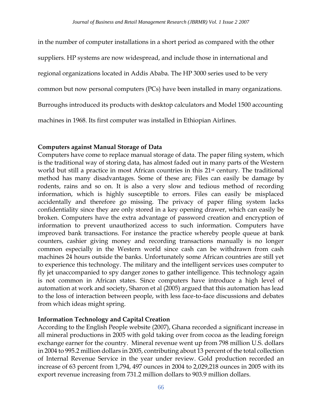in the number of computer installations in a short period as compared with the other suppliers. HP systems are now widespread, and include those in international and regional organizations located in Addis Ababa. The HP 3000 series used to be very common but now personal computers (PCs) have been installed in many organizations. Burroughs introduced its products with desktop calculators and Model 1500 accounting machines in 1968. Its first computer was installed in Ethiopian Airlines.

#### **Computers against Manual Storage of Data**

Computers have come to replace manual storage of data. The paper filing system, which is the traditional way of storing data, has almost faded out in many parts of the Western world but still a practice in most African countries in this 21<sup>st</sup> century. The traditional method has many disadvantages. Some of these are; Files can easily be damage by rodents, rains and so on. It is also a very slow and tedious method of recording information, which is highly susceptible to errors. Files can easily be misplaced accidentally and therefore go missing. The privacy of paper filing system lacks confidentiality since they are only stored in a key opening drawer, which can easily be broken. Computers have the extra advantage of password creation and encryption of information to prevent unauthorized access to such information. Computers have improved bank transactions. For instance the practice whereby people queue at bank counters, cashier giving money and recording transactions manually is no longer common especially in the Western world since cash can be withdrawn from cash machines 24 hours outside the banks. Unfortunately some African countries are still yet to experience this technology. The military and the intelligent services uses computer to fly jet unaccompanied to spy danger zones to gather intelligence. This technology again is not common in African states. Since computers have introduce a high level of automation at work and society, Sharon et al (2005) argued that this automation has lead to the loss of interaction between people, with less face-to-face discussions and debates from which ideas might spring.

## **Information Technology and Capital Creation**

According to the English People website (2007), Ghana recorded a significant increase in all mineral productions in 2005 with gold taking over from cocoa as the leading foreign exchange earner for the country. Mineral revenue went up from 798 million U.S. dollars in 2004 to 995.2 million dollars in 2005, contributing about 13 percent of the total collection of Internal Revenue Service in the year under review. Gold production recorded an increase of 63 percent from 1,794, 497 ounces in 2004 to 2,029,218 ounces in 2005 with its export revenue increasing from 731.2 million dollars to 903.9 million dollars.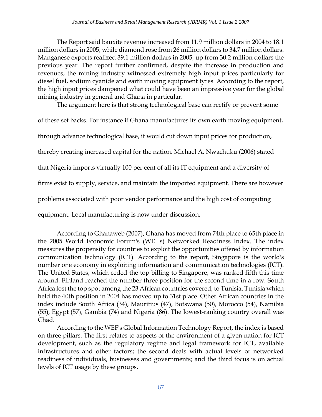The Report said bauxite revenue increased from 11.9 million dollars in 2004 to 18.1 million dollars in 2005, while diamond rose from 26 million dollars to 34.7 million dollars. Manganese exports realized 39.1 million dollars in 2005, up from 30.2 million dollars the previous year. The report further confirmed, despite the increase in production and revenues, the mining industry witnessed extremely high input prices particularly for diesel fuel, sodium cyanide and earth moving equipment tyres. According to the report, the high input prices dampened what could have been an impressive year for the global mining industry in general and Ghana in particular.

The argument here is that strong technological base can rectify or prevent some

of these set backs. For instance if Ghana manufactures its own earth moving equipment, through advance technological base, it would cut down input prices for production, thereby creating increased capital for the nation. Michael A. Nwachuku (2006) stated that Nigeria imports virtually 100 per cent of all its IT equipment and a diversity of firms exist to supply, service, and maintain the imported equipment. There are however problems associated with poor vendor performance and the high cost of computing equipment. Local manufacturing is now under discussion.

According to Ghanaweb (2007), Ghana has moved from 74th place to 65th place in the 2005 World Economic Forum's (WEF's) Networked Readiness Index. The index measures the propensity for countries to exploit the opportunities offered by information communication technology (ICT). According to the report, Singapore is the world's number one economy in exploiting information and communication technologies (ICT). The United States, which ceded the top billing to Singapore, was ranked fifth this time around. Finland reached the number three position for the second time in a row. South Africa lost the top spot among the 23 African countries covered, to Tunisia. Tunisia which held the 40th position in 2004 has moved up to 31st place. Other African countries in the index include South Africa (34), Mauritius (47), Botswana (50), Morocco (54), Namibia (55), Egypt (57), Gambia (74) and Nigeria (86). The lowest-ranking country overall was Chad.

According to the WEF's Global Information Technology Report, the index is based on three pillars. The first relates to aspects of the environment of a given nation for ICT development, such as the regulatory regime and legal framework for ICT, available infrastructures and other factors; the second deals with actual levels of networked readiness of individuals, businesses and governments; and the third focus is on actual levels of ICT usage by these groups.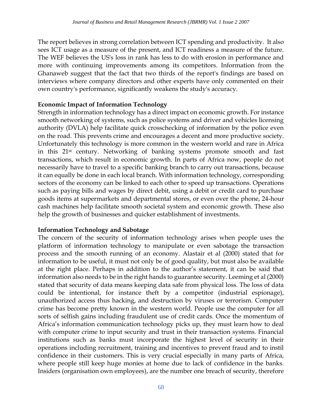The report believes in strong correlation between ICT spending and productivity. It also sees ICT usage as a measure of the present, and ICT readiness a measure of the future. The WEF believes the US's loss in rank has less to do with erosion in performance and more with continuing improvements among its competitors. Information from the Ghanaweb suggest that the fact that two thirds of the report's findings are based on interviews where company directors and other experts have only commented on their own country's performance, significantly weakens the study's accuracy.

## **Economic Impact of Information Technology**

Strength in information technology has a direct impact on economic growth. For instance smooth networking of systems, such as police systems and driver and vehicles licensing authority (DVLA) help facilitate quick crosschecking of information by the police even on the road. This prevents crime and encourages a decent and more productive society. Unfortunately this technology is more common in the western world and rare in Africa in this 21st century. Networking of banking systems promote smooth and fast transactions, which result in economic growth. In parts of Africa now, people do not necessarily have to travel to a specific banking branch to carry out transactions, because it can equally be done in each local branch. With information technology, corresponding sectors of the economy can be linked to each other to speed up transactions. Operations such as paying bills and wages by direct debit, using a debit or credit card to purchase goods items at supermarkets and departmental stores, or even over the phone, 24-hour cash machines help facilitate smooth societal system and economic growth. These also help the growth of businesses and quicker establishment of investments.

# **Information Technology and Sabotage**

The concern of the security of information technology arises when people uses the platform of information technology to manipulate or even sabotage the transaction process and the smooth running of an economy. Alastair et al (2000) stated that for information to be useful, it must not only be of good quality, but must also be available at the right place. Perhaps in addition to the author's statement, it can be said that information also needs to be in the right hands to guarantee security. Leeming et al (2000) stated that security of data means keeping data safe from physical loss. The loss of data could be intentional, for instance theft by a competitor (industrial espionage), unauthorized access thus hacking, and destruction by viruses or terrorism. Computer crime has become pretty known in the western world. People use the computer for all sorts of selfish gains including fraudulent use of credit cards. Once the momentum of Africa's information communication technology picks up, they must learn how to deal with computer crime to input security and trust in their transaction systems. Financial institutions such as banks must incorporate the highest level of security in their operations including recruitment, training and incentives to prevent fraud and to instil confidence in their customers. This is very crucial especially in many parts of Africa, where people still keep huge monies at home due to lack of confidence in the banks. Insiders (organisation own employees), are the number one breach of security, therefore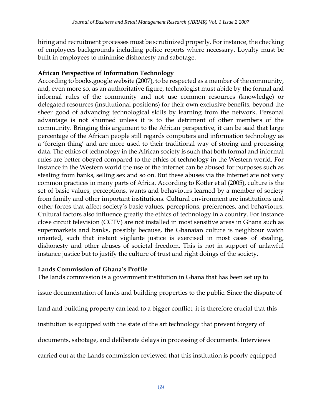hiring and recruitment processes must be scrutinized properly. For instance, the checking of employees backgrounds including police reports where necessary. Loyalty must be built in employees to minimise dishonesty and sabotage.

## **African Perspective of Information Technology**

According to books.google website (2007), to be respected as a member of the community, and, even more so, as an authoritative figure, technologist must abide by the formal and informal rules of the community and not use common resources (knowledge) or delegated resources (institutional positions) for their own exclusive benefits, beyond the sheer good of advancing technological skills by learning from the network. Personal advantage is not shunned unless it is to the detriment of other members of the community. Bringing this argument to the African perspective, it can be said that large percentage of the African people still regards computers and information technology as a 'foreign thing' and are more used to their traditional way of storing and processing data. The ethics of technology in the African society is such that both formal and informal rules are better obeyed compared to the ethics of technology in the Western world. For instance in the Western world the use of the internet can be abused for purposes such as stealing from banks, selling sex and so on. But these abuses via the Internet are not very common practices in many parts of Africa. According to Kotler et al (2005), culture is the set of basic values, perceptions, wants and behaviours learned by a member of society from family and other important institutions. Cultural environment are institutions and other forces that affect society's basic values, perceptions, preferences, and behaviours. Cultural factors also influence greatly the ethics of technology in a country. For instance close circuit television (CCTV) are not installed in most sensitive areas in Ghana such as supermarkets and banks, possibly because, the Ghanaian culture is neighbour watch oriented, such that instant vigilante justice is exercised in most cases of stealing, dishonesty and other abuses of societal freedom. This is not in support of unlawful instance justice but to justify the culture of trust and right doings of the society.

## **Lands Commission of Ghana's Profile**

The lands commission is a government institution in Ghana that has been set up to

issue documentation of lands and building properties to the public. Since the dispute of

land and building property can lead to a bigger conflict, it is therefore crucial that this

institution is equipped with the state of the art technology that prevent forgery of

documents, sabotage, and deliberate delays in processing of documents. Interviews

carried out at the Lands commission reviewed that this institution is poorly equipped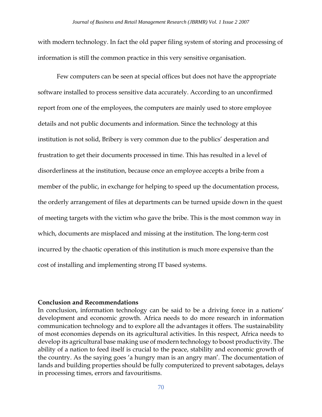with modern technology. In fact the old paper filing system of storing and processing of information is still the common practice in this very sensitive organisation.

Few computers can be seen at special offices but does not have the appropriate software installed to process sensitive data accurately. According to an unconfirmed report from one of the employees, the computers are mainly used to store employee details and not public documents and information. Since the technology at this institution is not solid, Bribery is very common due to the publics' desperation and frustration to get their documents processed in time. This has resulted in a level of disorderliness at the institution, because once an employee accepts a bribe from a member of the public, in exchange for helping to speed up the documentation process, the orderly arrangement of files at departments can be turned upside down in the quest of meeting targets with the victim who gave the bribe. This is the most common way in which, documents are misplaced and missing at the institution. The long-term cost incurred by the chaotic operation of this institution is much more expensive than the cost of installing and implementing strong IT based systems.

#### **Conclusion and Recommendations**

In conclusion, information technology can be said to be a driving force in a nations' development and economic growth. Africa needs to do more research in information communication technology and to explore all the advantages it offers. The sustainability of most economies depends on its agricultural activities. In this respect, Africa needs to develop its agricultural base making use of modern technology to boost productivity. The ability of a nation to feed itself is crucial to the peace, stability and economic growth of the country. As the saying goes 'a hungry man is an angry man'. The documentation of lands and building properties should be fully computerized to prevent sabotages, delays in processing times, errors and favouritisms.